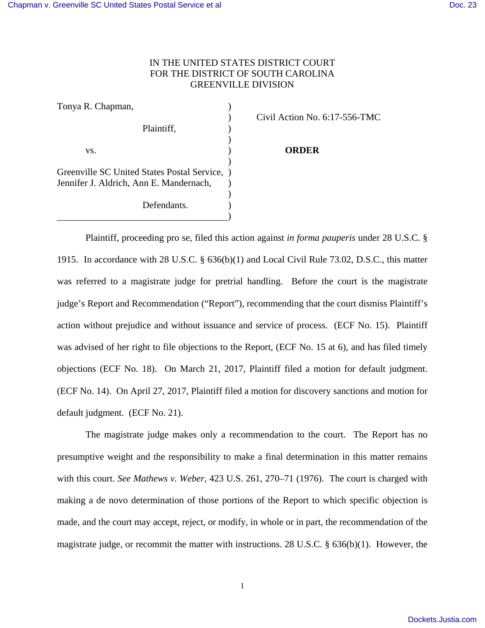## IN THE UNITED STATES DISTRICT COURT FOR THE DISTRICT OF SOUTH CAROLINA GREENVILLE DIVISION

| Tonya R. Chapman,                           |  |
|---------------------------------------------|--|
|                                             |  |
| Plaintiff,                                  |  |
|                                             |  |
| VS.                                         |  |
|                                             |  |
| Greenville SC United States Postal Service, |  |
| Jennifer J. Aldrich, Ann E. Mandernach,     |  |
|                                             |  |
| Defendants.                                 |  |
|                                             |  |

) Civil Action No. 6:17-556-TMC

## **ORDER**

Plaintiff, proceeding pro se, filed this action against *in forma pauperis* under 28 U.S.C. § 1915. In accordance with 28 U.S.C. § 636(b)(1) and Local Civil Rule 73.02, D.S.C., this matter was referred to a magistrate judge for pretrial handling. Before the court is the magistrate judge's Report and Recommendation ("Report"), recommending that the court dismiss Plaintiff's action without prejudice and without issuance and service of process. (ECF No. 15). Plaintiff was advised of her right to file objections to the Report, (ECF No. 15 at 6), and has filed timely objections (ECF No. 18). On March 21, 2017, Plaintiff filed a motion for default judgment. (ECF No. 14). On April 27, 2017, Plaintiff filed a motion for discovery sanctions and motion for default judgment. (ECF No. 21).

The magistrate judge makes only a recommendation to the court. The Report has no presumptive weight and the responsibility to make a final determination in this matter remains with this court. *See Mathews v. Weber*, 423 U.S. 261, 270–71 (1976). The court is charged with making a de novo determination of those portions of the Report to which specific objection is made, and the court may accept, reject, or modify, in whole or in part, the recommendation of the magistrate judge, or recommit the matter with instructions. 28 U.S.C. § 636(b)(1). However, the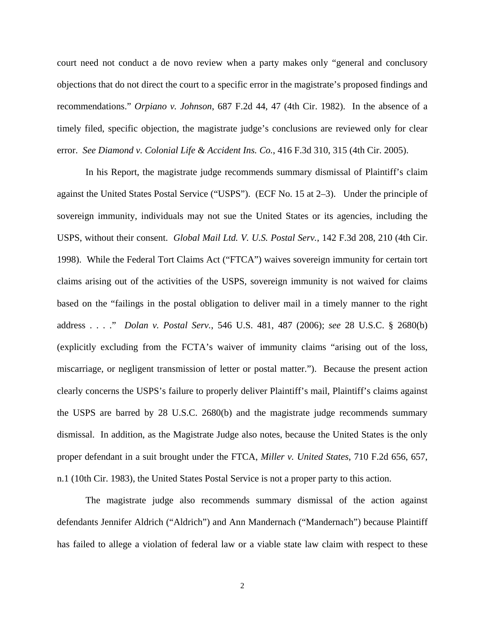court need not conduct a de novo review when a party makes only "general and conclusory objections that do not direct the court to a specific error in the magistrate's proposed findings and recommendations." *Orpiano v. Johnson*, 687 F.2d 44, 47 (4th Cir. 1982). In the absence of a timely filed, specific objection, the magistrate judge's conclusions are reviewed only for clear error. *See Diamond v. Colonial Life & Accident Ins. Co.*, 416 F.3d 310, 315 (4th Cir. 2005).

In his Report, the magistrate judge recommends summary dismissal of Plaintiff's claim against the United States Postal Service ("USPS"). (ECF No. 15 at 2–3). Under the principle of sovereign immunity, individuals may not sue the United States or its agencies, including the USPS, without their consent. *Global Mail Ltd. V. U.S. Postal Serv.*, 142 F.3d 208, 210 (4th Cir. 1998). While the Federal Tort Claims Act ("FTCA") waives sovereign immunity for certain tort claims arising out of the activities of the USPS, sovereign immunity is not waived for claims based on the "failings in the postal obligation to deliver mail in a timely manner to the right address . . . ." *Dolan v. Postal Serv.*, 546 U.S. 481, 487 (2006); *see* 28 U.S.C. § 2680(b) (explicitly excluding from the FCTA's waiver of immunity claims "arising out of the loss, miscarriage, or negligent transmission of letter or postal matter."). Because the present action clearly concerns the USPS's failure to properly deliver Plaintiff's mail, Plaintiff's claims against the USPS are barred by 28 U.S.C. 2680(b) and the magistrate judge recommends summary dismissal. In addition, as the Magistrate Judge also notes, because the United States is the only proper defendant in a suit brought under the FTCA, *Miller v. United States*, 710 F.2d 656, 657, n.1 (10th Cir. 1983), the United States Postal Service is not a proper party to this action.

The magistrate judge also recommends summary dismissal of the action against defendants Jennifer Aldrich ("Aldrich") and Ann Mandernach ("Mandernach") because Plaintiff has failed to allege a violation of federal law or a viable state law claim with respect to these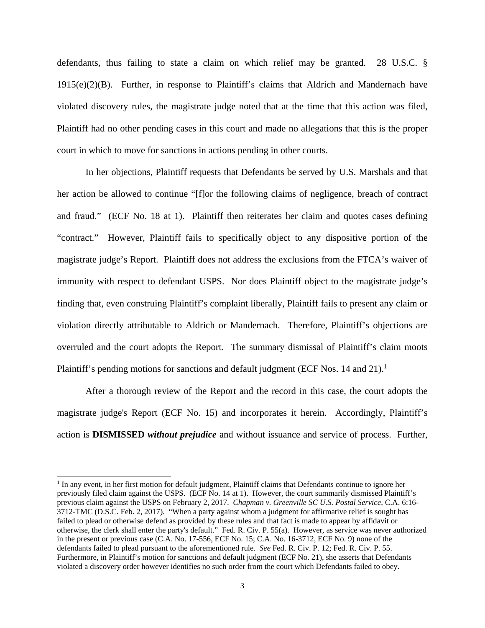defendants, thus failing to state a claim on which relief may be granted. 28 U.S.C. §  $1915(e)(2)(B)$ . Further, in response to Plaintiff's claims that Aldrich and Mandernach have violated discovery rules, the magistrate judge noted that at the time that this action was filed, Plaintiff had no other pending cases in this court and made no allegations that this is the proper court in which to move for sanctions in actions pending in other courts.

In her objections, Plaintiff requests that Defendants be served by U.S. Marshals and that her action be allowed to continue "[f]or the following claims of negligence, breach of contract and fraud." (ECF No. 18 at 1). Plaintiff then reiterates her claim and quotes cases defining "contract." However, Plaintiff fails to specifically object to any dispositive portion of the magistrate judge's Report. Plaintiff does not address the exclusions from the FTCA's waiver of immunity with respect to defendant USPS. Nor does Plaintiff object to the magistrate judge's finding that, even construing Plaintiff's complaint liberally, Plaintiff fails to present any claim or violation directly attributable to Aldrich or Mandernach. Therefore, Plaintiff's objections are overruled and the court adopts the Report. The summary dismissal of Plaintiff's claim moots Plaintiff's pending motions for sanctions and default judgment (ECF Nos. 14 and 21).<sup>1</sup>

After a thorough review of the Report and the record in this case, the court adopts the magistrate judge's Report (ECF No. 15) and incorporates it herein. Accordingly, Plaintiff's action is **DISMISSED** *without prejudice* and without issuance and service of process. Further,

 $\overline{a}$ 

<sup>&</sup>lt;sup>1</sup> In any event, in her first motion for default judgment, Plaintiff claims that Defendants continue to ignore her previously filed claim against the USPS. (ECF No. 14 at 1). However, the court summarily dismissed Plaintiff's previous claim against the USPS on February 2, 2017. *Chapman v. Greenville SC U.S. Postal Service*, C.A. 6:16- 3712-TMC (D.S.C. Feb. 2, 2017). "When a party against whom a judgment for affirmative relief is sought has failed to plead or otherwise defend as provided by these rules and that fact is made to appear by affidavit or otherwise, the clerk shall enter the party's default." Fed. R. Civ. P. 55(a). However, as service was never authorized in the present or previous case (C.A. No. 17-556, ECF No. 15; C.A. No. 16-3712, ECF No. 9) none of the defendants failed to plead pursuant to the aforementioned rule. *See* Fed. R. Civ. P. 12; Fed. R. Civ. P. 55. Furthermore, in Plaintiff's motion for sanctions and default judgment (ECF No. 21), she asserts that Defendants violated a discovery order however identifies no such order from the court which Defendants failed to obey.